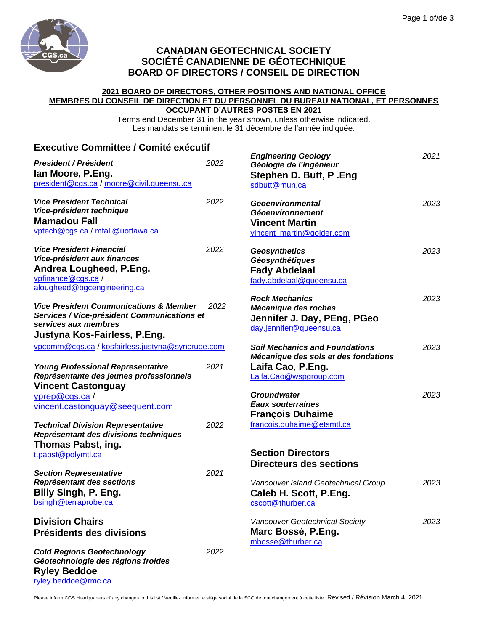

[ryley.beddoe@rmc.ca](mailto:ryley.beddoe@rmc.ca)

## **CANADIAN GEOTECHNICAL SOCIETY SOCIÉTÉ CANADIENNE DE GÉOTECHNIQUE BOARD OF DIRECTORS / CONSEIL DE DIRECTION**

## **2021 BOARD OF DIRECTORS, OTHER POSITIONS AND NATIONAL OFFICE MEMBRES DU CONSEIL DE DIRECTION ET DU PERSONNEL DU BUREAU NATIONAL, ET PERSONNES OCCUPANT D'AUTRES POSTES EN 2021**

Terms end December 31 in the year shown, unless otherwise indicated. Les mandats se terminent le 31 décembre de l'année indiquée.

| <b>Executive Committee / Comité exécutif</b>                                                                                                             |      |                                                                                                          |      |
|----------------------------------------------------------------------------------------------------------------------------------------------------------|------|----------------------------------------------------------------------------------------------------------|------|
| <b>President / Président</b><br>lan Moore, P.Eng.<br>president@cgs.ca / moore@civil.queensu.ca                                                           | 2022 | <b>Engineering Geology</b><br>Géologie de l'ingénieur<br>Stephen D. Butt, P. Eng<br>sdbutt@mun.ca        | 2021 |
| <b>Vice President Technical</b><br>Vice-président technique<br><b>Mamadou Fall</b><br>vptech@cgs.ca / mfall@uottawa.ca                                   | 2022 | <b>Geoenvironmental</b><br><b>Géoenvironnement</b><br><b>Vincent Martin</b><br>vincent martin@golder.com | 2023 |
| <b>Vice President Financial</b><br>Vice-président aux finances<br>Andrea Lougheed, P.Eng.<br>vpfinance@cgs.ca/<br>alougheed@bgcengineering.ca            | 2022 | <b>Geosynthetics</b><br>Géosynthétiques<br><b>Fady Abdelaal</b><br>fady.abdelaal@queensu.ca              | 2023 |
| <b>Vice President Communications &amp; Member</b><br>Services / Vice-président Communications et<br>services aux membres<br>Justyna Kos-Fairless, P.Eng. | 2022 | <b>Rock Mechanics</b><br>Mécanique des roches<br>Jennifer J. Day, PEng, PGeo<br>day.jennifer@queensu.ca  | 2023 |
| vpcomm@cgs.ca / kosfairless.justyna@syncrude.com<br><b>Young Professional Representative</b>                                                             | 2021 | <b>Soil Mechanics and Foundations</b><br>Mécanique des sols et des fondations<br>Laifa Cao, P.Eng.       | 2023 |
| Représentante des jeunes professionnels<br><b>Vincent Castonguay</b><br>yprep@cgs.ca/                                                                    |      | Laifa.Cao@wspgroup.com<br><b>Groundwater</b>                                                             | 2023 |
| vincent.castonguay@seequent.com<br><b>Technical Division Representative</b><br>Représentant des divisions techniques                                     | 2022 | <b>Eaux souterraines</b><br><b>François Duhaime</b><br>francois.duhaime@etsmtl.ca                        |      |
| Thomas Pabst, ing.<br>t.pabst@polymtl.ca                                                                                                                 |      | <b>Section Directors</b><br><b>Directeurs des sections</b>                                               |      |
| <b>Section Representative</b><br>Représentant des sections<br>Billy Singh, P. Eng.<br>bsingh@terraprobe.ca                                               | 2021 | Vancouver Island Geotechnical Group<br>Caleb H. Scott, P.Eng.<br>cscott@thurber.ca                       | 2023 |
| <b>Division Chairs</b><br>Présidents des divisions                                                                                                       |      | Vancouver Geotechnical Society<br>Marc Bossé, P.Eng.<br>mbosse@thurber.ca                                | 2023 |
| <b>Cold Regions Geotechnology</b><br>Géotechnologie des régions froides<br><b>Ryley Beddoe</b>                                                           | 2022 |                                                                                                          |      |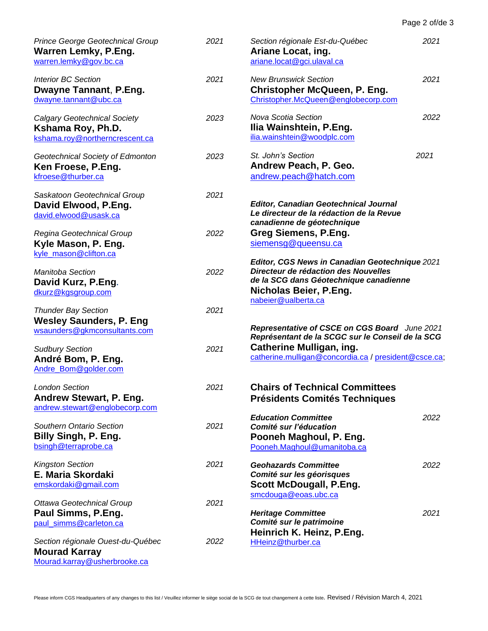| Page 2 of/de 3 |  |  |
|----------------|--|--|
|                |  |  |

| Prince George Geotechnical Group<br><b>Warren Lemky, P.Eng.</b><br>warren.lemky@gov.bc.ca    | 2021 | Section régionale Est-du-Québec<br>2021<br>Ariane Locat, ing.<br>ariane.locat@gci.ulaval.ca                                                                                       |      |  |
|----------------------------------------------------------------------------------------------|------|-----------------------------------------------------------------------------------------------------------------------------------------------------------------------------------|------|--|
| <b>Interior BC Section</b><br>Dwayne Tannant, P.Eng.<br>dwayne.tannant@ubc.ca                | 2021 | <b>New Brunswick Section</b><br>2021<br><b>Christopher McQueen, P. Eng.</b><br>Christopher.McQueen@englobecorp.com                                                                |      |  |
| <b>Calgary Geotechnical Society</b><br>Kshama Roy, Ph.D.<br>kshama.roy@northerncrescent.ca   | 2023 | Nova Scotia Section<br>Ilia Wainshtein, P.Eng.<br>ilia.wainshtein@woodplc.com                                                                                                     | 2022 |  |
| Geotechnical Society of Edmonton<br>Ken Froese, P.Eng.<br>kfroese@thurber.ca                 | 2023 | St. John's Section<br>Andrew Peach, P. Geo.<br>andrew.peach@hatch.com                                                                                                             | 2021 |  |
| Saskatoon Geotechnical Group<br>David Elwood, P.Eng.<br>david.elwood@usask.ca                | 2021 | <b>Editor, Canadian Geotechnical Journal</b><br>Le directeur de la rédaction de la Revue<br>canadienne de géotechnique                                                            |      |  |
| Regina Geotechnical Group<br>Kyle Mason, P. Eng.<br>kyle_mason@clifton.ca                    | 2022 | <b>Greg Siemens, P.Eng.</b><br>siemensg@queensu.ca                                                                                                                                |      |  |
| Manitoba Section<br>David Kurz, P.Eng.<br>dkurz@kgsgroup.com                                 | 2022 | Editor, CGS News in Canadian Geotechnique 2021<br>Directeur de rédaction des Nouvelles<br>de la SCG dans Géotechnique canadienne<br>Nicholas Beier, P.Eng.<br>nabeier@ualberta.ca |      |  |
| <b>Thunder Bay Section</b><br><b>Wesley Saunders, P. Eng</b><br>wsaunders@gkmconsultants.com | 2021 | Representative of CSCE on CGS Board June 2021                                                                                                                                     |      |  |
| <b>Sudbury Section</b><br>André Bom, P. Eng.<br>Andre_Bom@golder.com                         | 2021 | Représentant de la SCGC sur le Conseil de la SCG<br><b>Catherine Mulligan, ing.</b><br>catherine.mulligan@concordia.ca / president@csce.ca;                                       |      |  |
| <b>London Section</b><br>Andrew Stewart, P. Eng.<br>andrew.stewart@englobecorp.com           | 2021 | <b>Chairs of Technical Committees</b><br><b>Présidents Comités Techniques</b>                                                                                                     |      |  |
| Southern Ontario Section<br>Billy Singh, P. Eng.<br>bsingh@terraprobe.ca                     | 2021 | <b>Education Committee</b><br>Comité sur l'éducation<br>Pooneh Maghoul, P. Eng.<br>Pooneh.Maghoul@umanitoba.ca                                                                    | 2022 |  |
| <b>Kingston Section</b><br>E. Maria Skordaki<br>emskordaki@gmail.com                         | 2021 | <b>Geohazards Committee</b><br>Comité sur les géorisques<br><b>Scott McDougall, P.Eng.</b><br>smcdouga@eoas.ubc.ca                                                                | 2022 |  |
| Ottawa Geotechnical Group<br>Paul Simms, P.Eng.<br>paul_simms@carleton.ca                    | 2021 | <b>Heritage Committee</b><br>Comité sur le patrimoine                                                                                                                             | 2021 |  |
| Section régionale Ouest-du-Québec<br><b>Mourad Karray</b><br>Mourad.karray@usherbrooke.ca    | 2022 | Heinrich K. Heinz, P.Eng.<br>HHeinz@thurber.ca                                                                                                                                    |      |  |